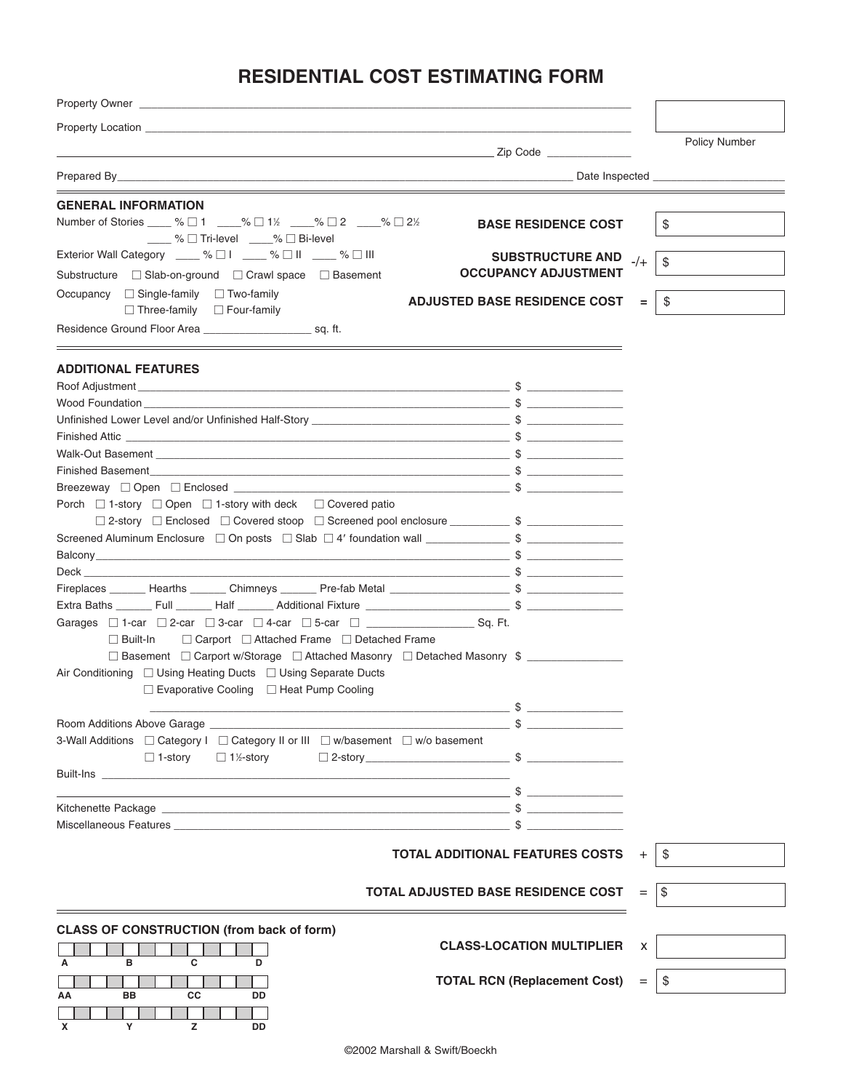# **RESIDENTIAL COST ESTIMATING FORM**

| Property Location <b>Contract Contract Contract Contract Contract Contract Contract Contract Contract Contract Contract Contract Contract Contract Contract Contract Contract Contract Contract Contract Contract Contract Contr</b> |       |               |
|--------------------------------------------------------------------------------------------------------------------------------------------------------------------------------------------------------------------------------------|-------|---------------|
|                                                                                                                                                                                                                                      |       | Policy Number |
|                                                                                                                                                                                                                                      |       |               |
|                                                                                                                                                                                                                                      |       |               |
| <b>GENERAL INFORMATION</b><br>Number of Stories ____ % □ 1 ____% □ 1½ ____% □ 2 ____% □ 2½<br><b>BASE RESIDENCE COST</b><br><u>Manus %</u> D Tri-level 2% D Bi-level                                                                 |       | $\$\$         |
| Exterior Wall Category ____ % □ I ____ % □ II ____ % □ III<br><b>SUBSTRUCTURE AND</b>                                                                                                                                                |       |               |
| <b>OCCUPANCY ADJUSTMENT</b><br>Substructure □ Slab-on-ground □ Crawl space □ Basement                                                                                                                                                | $-/-$ | \$            |
| Occupancy $\Box$ Single-family $\Box$ Two-family<br><b>ADJUSTED BASE RESIDENCE COST</b>                                                                                                                                              | $=$   | \$            |
| $\Box$ Three-family $\Box$ Four-family<br>Residence Ground Floor Area                                                                                                                                                                |       |               |
| <b>ADDITIONAL FEATURES</b>                                                                                                                                                                                                           |       |               |
|                                                                                                                                                                                                                                      |       |               |
| Wood Foundation $\sim$                                                                                                                                                                                                               |       |               |
| Unfinished Lower Level and/or Unfinished Half-Story entitled and the state of the Security of the Security of S                                                                                                                      |       |               |
|                                                                                                                                                                                                                                      |       |               |
|                                                                                                                                                                                                                                      |       |               |
| Finished Basement_______________                                                                                                                                                                                                     |       |               |
|                                                                                                                                                                                                                                      |       |               |
| Porch $\Box$ 1-story $\Box$ Open $\Box$ 1-story with deck $\Box$ Covered patio                                                                                                                                                       |       |               |
| □ 2-story □ Enclosed □ Covered stoop □ Screened pool enclosure ___________ \$ ________________                                                                                                                                       |       |               |
| Screened Aluminum Enclosure □ On posts □ Slab □ 4' foundation wall ________________________________                                                                                                                                  |       |               |
|                                                                                                                                                                                                                                      |       |               |
|                                                                                                                                                                                                                                      |       |               |
|                                                                                                                                                                                                                                      |       |               |
|                                                                                                                                                                                                                                      |       |               |
|                                                                                                                                                                                                                                      |       |               |
| $\Box$ Carport $\Box$ Attached Frame $\Box$ Detached Frame<br>$\Box$ Built-In<br>□ Basement □ Carport w/Storage □ Attached Masonry □ Detached Masonry \$                                                                             |       |               |
| Air Conditioning □ Using Heating Ducts □ Using Separate Ducts                                                                                                                                                                        |       |               |
| $\Box$ Evaporative Cooling $\Box$ Heat Pump Cooling                                                                                                                                                                                  |       |               |
| $\sim$ \$ $\sim$                                                                                                                                                                                                                     |       |               |
|                                                                                                                                                                                                                                      |       |               |
| 3-Wall Additions  □ Category I  □ Category II or III  □ w/basement  □ w/o basement                                                                                                                                                   |       |               |
| □ 1½-story<br>$\Box$ 1-story                                                                                                                                                                                                         |       |               |
| <b>Built-Ins Built-Ins</b>                                                                                                                                                                                                           |       |               |
|                                                                                                                                                                                                                                      |       |               |
|                                                                                                                                                                                                                                      |       |               |
|                                                                                                                                                                                                                                      |       |               |
|                                                                                                                                                                                                                                      |       |               |
| <b>TOTAL ADDITIONAL FEATURES COSTS</b>                                                                                                                                                                                               |       | \$            |
|                                                                                                                                                                                                                                      |       |               |
| <b>TOTAL ADJUSTED BASE RESIDENCE COST</b>                                                                                                                                                                                            | $=$   | \$            |
| <b>CLASS OF CONSTRUCTION (from back of form)</b>                                                                                                                                                                                     |       |               |
| <b>CLASS-LOCATION MULTIPLIER</b>                                                                                                                                                                                                     | X     |               |
| в<br>C<br>А<br>D                                                                                                                                                                                                                     |       |               |
| <b>TOTAL RCN (Replacement Cost)</b><br>BB<br>CС<br>DD<br>ΑА                                                                                                                                                                          | $=$   | \$            |
|                                                                                                                                                                                                                                      |       |               |
| z<br>Y<br>DD<br>X                                                                                                                                                                                                                    |       |               |